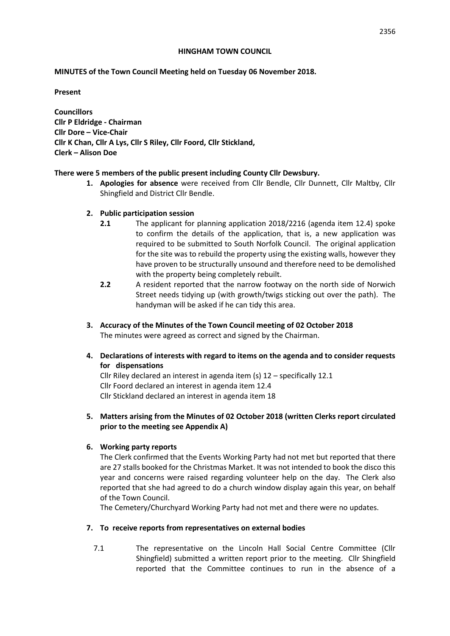#### **HINGHAM TOWN COUNCIL**

#### **MINUTES of the Town Council Meeting held on Tuesday 06 November 2018.**

#### **Present**

**Councillors Cllr P Eldridge - Chairman Cllr Dore – Vice-Chair Cllr K Chan, Cllr A Lys, Cllr S Riley, Cllr Foord, Cllr Stickland, Clerk – Alison Doe** 

#### **There were 5 members of the public present including County Cllr Dewsbury.**

- **1. Apologies for absence** were received from Cllr Bendle, Cllr Dunnett, Cllr Maltby, Cllr Shingfield and District Cllr Bendle.
- **2. Public participation session** 
	- **2.1** The applicant for planning application 2018/2216 (agenda item 12.4) spoke to confirm the details of the application, that is, a new application was required to be submitted to South Norfolk Council. The original application for the site was to rebuild the property using the existing walls, however they have proven to be structurally unsound and therefore need to be demolished with the property being completely rebuilt.
	- **2.2** A resident reported that the narrow footway on the north side of Norwich Street needs tidying up (with growth/twigs sticking out over the path). The handyman will be asked if he can tidy this area.
- **3. Accuracy of the Minutes of the Town Council meeting of 02 October 2018** The minutes were agreed as correct and signed by the Chairman.
- **4. Declarations of interests with regard to items on the agenda and to consider requests for dispensations**

Cllr Riley declared an interest in agenda item (s) 12 – specifically 12.1 Cllr Foord declared an interest in agenda item 12.4 Cllr Stickland declared an interest in agenda item 18

**5. Matters arising from the Minutes of 02 October 2018 (written Clerks report circulated prior to the meeting see Appendix A)**

### **6. Working party reports**

The Clerk confirmed that the Events Working Party had not met but reported that there are 27 stalls booked for the Christmas Market. It was not intended to book the disco this year and concerns were raised regarding volunteer help on the day. The Clerk also reported that she had agreed to do a church window display again this year, on behalf of the Town Council.

The Cemetery/Churchyard Working Party had not met and there were no updates.

### **7. To receive reports from representatives on external bodies**

7.1 The representative on the Lincoln Hall Social Centre Committee (Cllr Shingfield) submitted a written report prior to the meeting. Cllr Shingfield reported that the Committee continues to run in the absence of a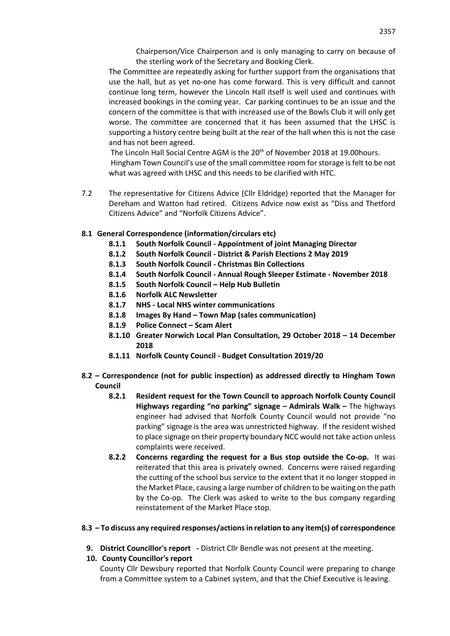Chairperson/Vice Chairperson and is only managing to carry on because of the sterling work of the Secretary and Booking Clerk.

The Committee are repeatedly asking for further support from the organisations that use the hall, but as yet no-one has come forward. This is very difficult and cannot continue long term, however the Lincoln Hall itself is well used and continues with increased bookings in the coming year. Car parking continues to be an issue and the concern of the committee is that with increased use of the Bowls Club it will only get worse. The committee are concerned that it has been assumed that the LHSC is supporting a history centre being built at the rear of the hall when this is not the case and has not been agreed.

The Lincoln Hall Social Centre AGM is the 20th of November 2018 at 19.00hours. Hingham Town Council's use of the small committee room for storage is felt to be not what was agreed with LHSC and this needs to be clarified with HTC.

7.2 The representative for Citizens Advice (Cllr Eldridge) reported that the Manager for Dereham and Watton had retired. Citizens Advice now exist as "Diss and Thetford Citizens Advice" and "Norfolk Citizens Advice".

## **8.1 General Correspondence (information/circulars etc)**

- **8.1.1 South Norfolk Council - Appointment of joint Managing Director**
- **8.1.2 South Norfolk Council - District & Parish Elections 2 May 2019**
- **8.1.3 South Norfolk Council - Christmas Bin Collections**
- **8.1.4 South Norfolk Council - Annual Rough Sleeper Estimate - November 2018**
- **8.1.5 South Norfolk Council – Help Hub Bulletin**
- **8.1.6 Norfolk ALC Newsletter**
- **8.1.7 NHS - Local NHS winter communications**
- **8.1.8 Images By Hand – Town Map (sales communication)**
- **8.1.9 Police Connect – Scam Alert**
- **8.1.10 Greater Norwich Local Plan Consultation, 29 October 2018 – 14 December 2018**
- **8.1.11 Norfolk County Council - Budget Consultation 2019/20**
- **8.2 – Correspondence (not for public inspection) as addressed directly to Hingham Town Council**
	- **8.2.1 Resident request for the Town Council to approach Norfolk County Council Highways regarding "no parking" signage – Admirals Walk –** The highways engineer had advised that Norfolk County Council would not provide "no parking" signage is the area was unrestricted highway. If the resident wished to place signage on their property boundary NCC would not take action unless complaints were received.
	- **8.2.2 Concerns regarding the request for a Bus stop outside the Co-op.** It was reiterated that this area is privately owned. Concerns were raised regarding the cutting of the school bus service to the extent that it no longer stopped in the Market Place, causing a large number of children to be waiting on the path by the Co-op. The Clerk was asked to write to the bus company regarding reinstatement of the Market Place stop.

### **8.3 – To discuss any required responses/actions in relation to any item(s) of correspondence**

**9. District Councillor's report -** District Cllr Bendle was not present at the meeting.

## **10. County Councillor's report**

County Cllr Dewsbury reported that Norfolk County Council were preparing to change from a Committee system to a Cabinet system, and that the Chief Executive is leaving.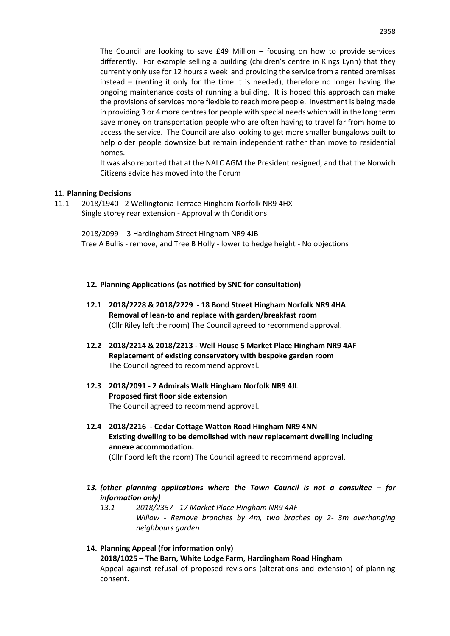The Council are looking to save £49 Million – focusing on how to provide services differently. For example selling a building (children's centre in Kings Lynn) that they currently only use for 12 hours a week and providing the service from a rented premises instead – (renting it only for the time it is needed), therefore no longer having the ongoing maintenance costs of running a building. It is hoped this approach can make the provisions of services more flexible to reach more people. Investment is being made in providing 3 or 4 more centres for people with special needs which will in the long term save money on transportation people who are often having to travel far from home to access the service. The Council are also looking to get more smaller bungalows built to help older people downsize but remain independent rather than move to residential homes.

It was also reported that at the NALC AGM the President resigned, and that the Norwich Citizens advice has moved into the Forum

#### **11. Planning Decisions**

11.1 2018/1940 - 2 Wellingtonia Terrace Hingham Norfolk NR9 4HX Single storey rear extension - Approval with Conditions

> 2018/2099 - 3 Hardingham Street Hingham NR9 4JB Tree A Bullis - remove, and Tree B Holly - lower to hedge height - No objections

- **12. Planning Applications (as notified by SNC for consultation)**
- **12.1 2018/2228 & 2018/2229 - 18 Bond Street Hingham Norfolk NR9 4HA Removal of lean-to and replace with garden/breakfast room**  (Cllr Riley left the room) The Council agreed to recommend approval.
- **12.2 2018/2214 & 2018/2213 - Well House 5 Market Place Hingham NR9 4AF Replacement of existing conservatory with bespoke garden room**  The Council agreed to recommend approval.
- **12.3 2018/2091 - 2 Admirals Walk Hingham Norfolk NR9 4JL Proposed first floor side extension** The Council agreed to recommend approval.
- **12.4 2018/2216 - Cedar Cottage Watton Road Hingham NR9 4NN Existing dwelling to be demolished with new replacement dwelling including annexe accommodation.**  (Cllr Foord left the room) The Council agreed to recommend approval.
	-
- *13. (other planning applications where the Town Council is not a consultee – for information only)*
	- *13.1 2018/2357 - 17 Market Place Hingham NR9 4AF Willow - Remove branches by 4m, two braches by 2- 3m overhanging neighbours garden*
- **14. Planning Appeal (for information only) 2018/1025 – The Barn, White Lodge Farm, Hardingham Road Hingham** Appeal against refusal of proposed revisions (alterations and extension) of planning consent.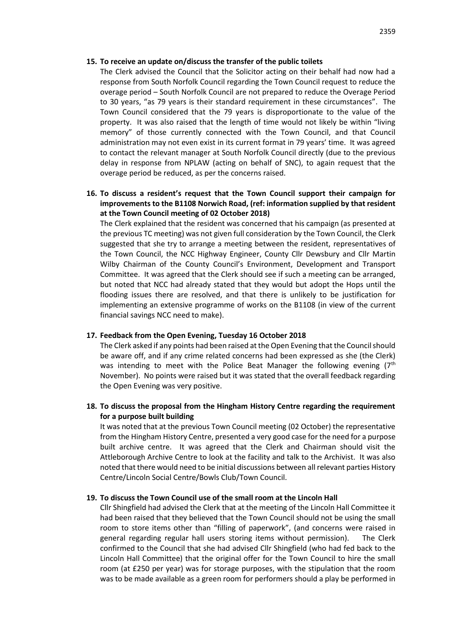#### **15. To receive an update on/discuss the transfer of the public toilets**

The Clerk advised the Council that the Solicitor acting on their behalf had now had a response from South Norfolk Council regarding the Town Council request to reduce the overage period – South Norfolk Council are not prepared to reduce the Overage Period to 30 years, "as 79 years is their standard requirement in these circumstances". The Town Council considered that the 79 years is disproportionate to the value of the property. It was also raised that the length of time would not likely be within "living memory" of those currently connected with the Town Council, and that Council administration may not even exist in its current format in 79 years' time. It was agreed to contact the relevant manager at South Norfolk Council directly (due to the previous delay in response from NPLAW (acting on behalf of SNC), to again request that the overage period be reduced, as per the concerns raised.

## **16. To discuss a resident's request that the Town Council support their campaign for improvements to the B1108 Norwich Road, (ref: information supplied by that resident at the Town Council meeting of 02 October 2018)**

The Clerk explained that the resident was concerned that his campaign (as presented at the previous TC meeting) was not given full consideration by the Town Council, the Clerk suggested that she try to arrange a meeting between the resident, representatives of the Town Council, the NCC Highway Engineer, County Cllr Dewsbury and Cllr Martin Wilby Chairman of the County Council's Environment, Development and Transport Committee. It was agreed that the Clerk should see if such a meeting can be arranged, but noted that NCC had already stated that they would but adopt the Hops until the flooding issues there are resolved, and that there is unlikely to be justification for implementing an extensive programme of works on the B1108 (in view of the current financial savings NCC need to make).

### **17. Feedback from the Open Evening, Tuesday 16 October 2018**

The Clerk asked if any points had been raised at the Open Evening that the Council should be aware off, and if any crime related concerns had been expressed as she (the Clerk) was intending to meet with the Police Beat Manager the following evening (7<sup>th</sup> November). No points were raised but it was stated that the overall feedback regarding the Open Evening was very positive.

## **18. To discuss the proposal from the Hingham History Centre regarding the requirement for a purpose built building**

It was noted that at the previous Town Council meeting (02 October) the representative from the Hingham History Centre, presented a very good case for the need for a purpose built archive centre. It was agreed that the Clerk and Chairman should visit the Attleborough Archive Centre to look at the facility and talk to the Archivist. It was also noted that there would need to be initial discussions between all relevant parties History Centre/Lincoln Social Centre/Bowls Club/Town Council.

### **19. To discuss the Town Council use of the small room at the Lincoln Hall**

Cllr Shingfield had advised the Clerk that at the meeting of the Lincoln Hall Committee it had been raised that they believed that the Town Council should not be using the small room to store items other than "filling of paperwork", (and concerns were raised in general regarding regular hall users storing items without permission). The Clerk confirmed to the Council that she had advised Cllr Shingfield (who had fed back to the Lincoln Hall Committee) that the original offer for the Town Council to hire the small room (at £250 per year) was for storage purposes, with the stipulation that the room was to be made available as a green room for performers should a play be performed in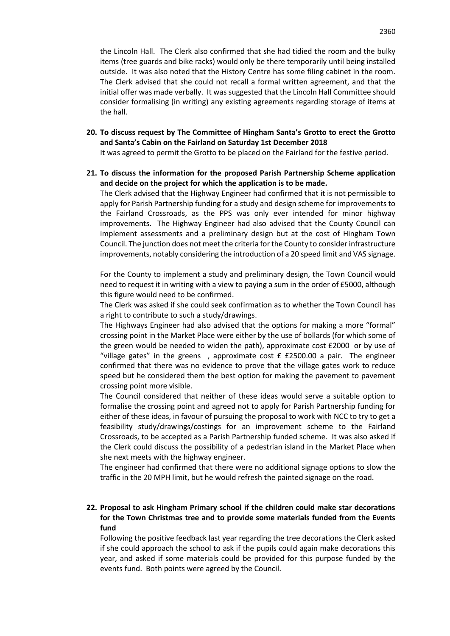the Lincoln Hall. The Clerk also confirmed that she had tidied the room and the bulky items (tree guards and bike racks) would only be there temporarily until being installed outside. It was also noted that the History Centre has some filing cabinet in the room. The Clerk advised that she could not recall a formal written agreement, and that the initial offer was made verbally. It was suggested that the Lincoln Hall Committee should consider formalising (in writing) any existing agreements regarding storage of items at the hall.

**20. To discuss request by The Committee of Hingham Santa's Grotto to erect the Grotto and Santa's Cabin on the Fairland on Saturday 1st December 2018**

It was agreed to permit the Grotto to be placed on the Fairland for the festive period.

**21. To discuss the information for the proposed Parish Partnership Scheme application and decide on the project for which the application is to be made.**

The Clerk advised that the Highway Engineer had confirmed that it is not permissible to apply for Parish Partnership funding for a study and design scheme for improvements to the Fairland Crossroads, as the PPS was only ever intended for minor highway improvements. The Highway Engineer had also advised that the County Council can implement assessments and a preliminary design but at the cost of Hingham Town Council. The junction does not meet the criteria for the County to consider infrastructure improvements, notably considering the introduction of a 20 speed limit and VAS signage.

For the County to implement a study and preliminary design, the Town Council would need to request it in writing with a view to paying a sum in the order of £5000, although this figure would need to be confirmed.

The Clerk was asked if she could seek confirmation as to whether the Town Council has a right to contribute to such a study/drawings.

The Highways Engineer had also advised that the options for making a more "formal" crossing point in the Market Place were either by the use of bollards (for which some of the green would be needed to widen the path), approximate cost £2000 or by use of "village gates" in the greens, approximate cost  $E$  £2500.00 a pair. The engineer confirmed that there was no evidence to prove that the village gates work to reduce speed but he considered them the best option for making the pavement to pavement crossing point more visible.

The Council considered that neither of these ideas would serve a suitable option to formalise the crossing point and agreed not to apply for Parish Partnership funding for either of these ideas, in favour of pursuing the proposal to work with NCC to try to get a feasibility study/drawings/costings for an improvement scheme to the Fairland Crossroads, to be accepted as a Parish Partnership funded scheme. It was also asked if the Clerk could discuss the possibility of a pedestrian island in the Market Place when she next meets with the highway engineer.

The engineer had confirmed that there were no additional signage options to slow the traffic in the 20 MPH limit, but he would refresh the painted signage on the road.

## **22. Proposal to ask Hingham Primary school if the children could make star decorations for the Town Christmas tree and to provide some materials funded from the Events fund**

Following the positive feedback last year regarding the tree decorations the Clerk asked if she could approach the school to ask if the pupils could again make decorations this year, and asked if some materials could be provided for this purpose funded by the events fund. Both points were agreed by the Council.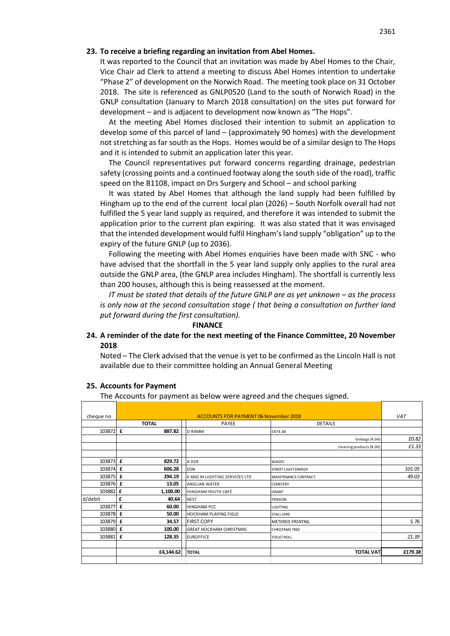#### **23. To receive a briefing regarding an invitation from Abel Homes.**

It was reported to the Council that an invitation was made by Abel Homes to the Chair, Vice Chair ad Clerk to attend a meeting to discuss Abel Homes intention to undertake "Phase 2" of development on the Norwich Road. The meeting took place on 31 October 2018. The site is referenced as GNLP0520 (Land to the south of Norwich Road) in the GNLP consultation (January to March 2018 consultation) on the sites put forward for development – and is adjacent to development now known as "The Hops".

At the meeting Abel Homes disclosed their intention to submit an application to develop some of this parcel of land – (approximately 90 homes) with the development not stretching as far south as the Hops. Homes would be of a similar design to The Hops and it is intended to submit an application later this year.

The Council representatives put forward concerns regarding drainage, pedestrian safety (crossing points and a continued footway along the south side of the road), traffic speed on the B1108, impact on Drs Surgery and School – and school parking

It was stated by Abel Homes that although the land supply had been fulfilled by Hingham up to the end of the current local plan (2026) – South Norfolk overall had not fulfilled the 5 year land supply as required, and therefore it was intended to submit the application prior to the current plan expiring. It was also stated that it was envisaged that the intended development would fulfil Hingham's land supply "obligation" up to the expiry of the future GNLP (up to 2036).

Following the meeting with Abel Homes enquiries have been made with SNC - who have advised that the shortfall in the 5 year land supply only applies to the rural area outside the GNLP area, (the GNLP area includes Hingham). The shortfall is currently less than 200 houses, although this is being reassessed at the moment.

*IT must be stated that details of the future GNLP are as yet unknown – as the process is only now at the second consultation stage ( that being a consultation on further land put forward during the first consultation).*

#### **FINANCE**

## **24. A reminder of the date for the next meeting of the Finance Committee, 20 November 2018**

Noted – The Clerk advised that the venue is yet to be confirmed as the Lincoln Hall is not available due to their committee holding an Annual General Meeting

#### **25. Accounts for Payment**

The Accounts for payment as below were agreed and the cheques signed.

| cheque no | <b>ACCOUNTS FOR PAYMENT 06 November 2018</b> |                                |                            | VAT     |
|-----------|----------------------------------------------|--------------------------------|----------------------------|---------|
|           | <b>TOTAL</b>                                 | PAYEE                          | <b>DETAILS</b>             |         |
| 103872 £  | 887.82                                       | <b>D RAMM</b>                  | £874.88                    |         |
|           |                                              |                                | binbags (4.94)             | £0.82   |
|           |                                              |                                | cleaning products (8.00)   | £1.33   |
|           |                                              |                                |                            |         |
| 103873 £  | 829.72                                       | A DOE                          | <b>WAGES</b>               |         |
| 103874    | $\mathbf f$<br>606.28                        | <b>EON</b>                     | <b>STREET LIGHT ENERGY</b> | 101.05  |
| 103875 £  | 294.19                                       | K AND M LIGHTING SERVICES LTD  | MAINTENANCE CONTRACT       | 49.03   |
| 103876 £  | 13.05                                        | <b>ANGLIAN WATER</b>           | <b>CEMETERY</b>            |         |
| 103882 £  | 1,100.00                                     | HINGHAM YOUTH CAFÉ             | <b>GRANT</b>               |         |
| d/debit   | £<br>40.64                                   | <b>NEST</b>                    | <b>PENSION</b>             |         |
| 103877    | $\mathbf f$<br>60.00                         | <b>HINGHAM PCC</b>             | <b>LIGHTING</b>            |         |
| 103878 £  | 50.00                                        | HOCKHAM PLAYING FIELD          | <b>STALL HIRE</b>          |         |
| 103879 £  | 34.57                                        | <b>FIRST COPY</b>              | <b>METERED PRINTNG</b>     | 5.76    |
| 103880 £  | 100.00                                       | <b>GREAT HOCKHAM CHRISTMAS</b> | <b>CHRISTMAS TREE</b>      |         |
| 103881    | £<br>128.35                                  | <b>EUROFFICE</b>               | <b>TOILET ROLL</b>         | 21.39   |
|           |                                              |                                |                            |         |
|           | £4,144.62                                    | <b>TOTAL</b>                   | <b>TOTAL VAT</b>           | £179.38 |
|           |                                              |                                |                            |         |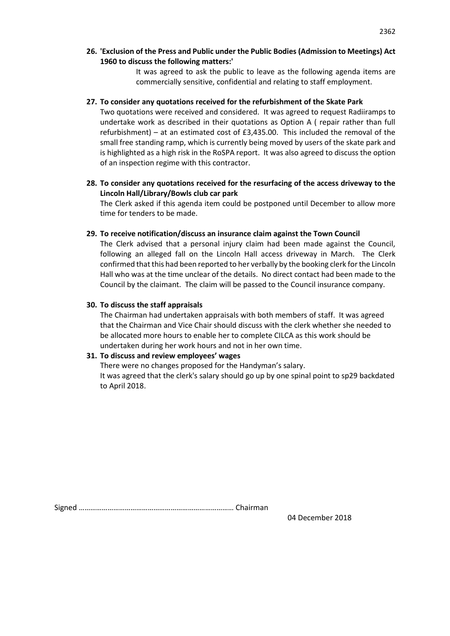**26. 'Exclusion of the Press and Public under the Public Bodies (Admission to Meetings) Act 1960 to discuss the following matters:'** 

> It was agreed to ask the public to leave as the following agenda items are commercially sensitive, confidential and relating to staff employment.

### **27. To consider any quotations received for the refurbishment of the Skate Park**

Two quotations were received and considered. It was agreed to request Radiiramps to undertake work as described in their quotations as Option A ( repair rather than full refurbishment) – at an estimated cost of  $£3,435.00$ . This included the removal of the small free standing ramp, which is currently being moved by users of the skate park and is highlighted as a high risk in the RoSPA report. It was also agreed to discuss the option of an inspection regime with this contractor.

**28. To consider any quotations received for the resurfacing of the access driveway to the Lincoln Hall/Library/Bowls club car park**

The Clerk asked if this agenda item could be postponed until December to allow more time for tenders to be made.

### **29. To receive notification/discuss an insurance claim against the Town Council**

The Clerk advised that a personal injury claim had been made against the Council, following an alleged fall on the Lincoln Hall access driveway in March. The Clerk confirmed that this had been reported to her verbally by the booking clerk for the Lincoln Hall who was at the time unclear of the details. No direct contact had been made to the Council by the claimant. The claim will be passed to the Council insurance company.

### **30. To discuss the staff appraisals**

The Chairman had undertaken appraisals with both members of staff. It was agreed that the Chairman and Vice Chair should discuss with the clerk whether she needed to be allocated more hours to enable her to complete CILCA as this work should be undertaken during her work hours and not in her own time.

### **31. To discuss and review employees' wages**

There were no changes proposed for the Handyman's salary.

It was agreed that the clerk's salary should go up by one spinal point to sp29 backdated to April 2018.

Signed ……………………………………………………………………… Chairman

04 December 2018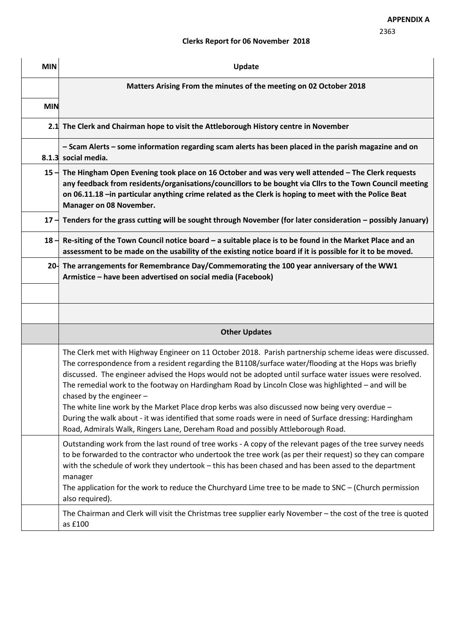# **Clerks Report for 06 November 2018**

| <b>MIN</b> | Update                                                                                                                                                                                                                                                                                                                                                                                                                                                                                                                                                                                                                                                                                                                                                       |  |  |  |  |
|------------|--------------------------------------------------------------------------------------------------------------------------------------------------------------------------------------------------------------------------------------------------------------------------------------------------------------------------------------------------------------------------------------------------------------------------------------------------------------------------------------------------------------------------------------------------------------------------------------------------------------------------------------------------------------------------------------------------------------------------------------------------------------|--|--|--|--|
|            | Matters Arising From the minutes of the meeting on 02 October 2018                                                                                                                                                                                                                                                                                                                                                                                                                                                                                                                                                                                                                                                                                           |  |  |  |  |
| <b>MIN</b> |                                                                                                                                                                                                                                                                                                                                                                                                                                                                                                                                                                                                                                                                                                                                                              |  |  |  |  |
|            | 2.1 The Clerk and Chairman hope to visit the Attleborough History centre in November                                                                                                                                                                                                                                                                                                                                                                                                                                                                                                                                                                                                                                                                         |  |  |  |  |
|            | - Scam Alerts - some information regarding scam alerts has been placed in the parish magazine and on<br>8.1.3 social media.                                                                                                                                                                                                                                                                                                                                                                                                                                                                                                                                                                                                                                  |  |  |  |  |
| $15 -$     | The Hingham Open Evening took place on 16 October and was very well attended - The Clerk requests<br>any feedback from residents/organisations/councillors to be bought via Cllrs to the Town Council meeting<br>on 06.11.18 -in particular anything crime related as the Clerk is hoping to meet with the Police Beat<br>Manager on 08 November.                                                                                                                                                                                                                                                                                                                                                                                                            |  |  |  |  |
|            | 17 $-$ Tenders for the grass cutting will be sought through November (for later consideration – possibly January)                                                                                                                                                                                                                                                                                                                                                                                                                                                                                                                                                                                                                                            |  |  |  |  |
|            | 18 $-$ Re-siting of the Town Council notice board – a suitable place is to be found in the Market Place and an<br>assessment to be made on the usability of the existing notice board if it is possible for it to be moved.                                                                                                                                                                                                                                                                                                                                                                                                                                                                                                                                  |  |  |  |  |
| $20 -$     | The arrangements for Remembrance Day/Commemorating the 100 year anniversary of the WW1<br>Armistice - have been advertised on social media (Facebook)                                                                                                                                                                                                                                                                                                                                                                                                                                                                                                                                                                                                        |  |  |  |  |
|            |                                                                                                                                                                                                                                                                                                                                                                                                                                                                                                                                                                                                                                                                                                                                                              |  |  |  |  |
|            | <b>Other Updates</b>                                                                                                                                                                                                                                                                                                                                                                                                                                                                                                                                                                                                                                                                                                                                         |  |  |  |  |
|            | The Clerk met with Highway Engineer on 11 October 2018. Parish partnership scheme ideas were discussed.<br>The correspondence from a resident regarding the B1108/surface water/flooding at the Hops was briefly<br>discussed. The engineer advised the Hops would not be adopted until surface water issues were resolved.<br>The remedial work to the footway on Hardingham Road by Lincoln Close was highlighted - and will be<br>chased by the engineer -<br>The white line work by the Market Place drop kerbs was also discussed now being very overdue -<br>During the walk about - it was identified that some roads were in need of Surface dressing: Hardingham<br>Road, Admirals Walk, Ringers Lane, Dereham Road and possibly Attleborough Road. |  |  |  |  |
|            | Outstanding work from the last round of tree works - A copy of the relevant pages of the tree survey needs<br>to be forwarded to the contractor who undertook the tree work (as per their request) so they can compare<br>with the schedule of work they undertook - this has been chased and has been assed to the department<br>manager<br>The application for the work to reduce the Churchyard Lime tree to be made to SNC $-$ (Church permission<br>also required).                                                                                                                                                                                                                                                                                     |  |  |  |  |
|            | The Chairman and Clerk will visit the Christmas tree supplier early November - the cost of the tree is quoted<br>as £100                                                                                                                                                                                                                                                                                                                                                                                                                                                                                                                                                                                                                                     |  |  |  |  |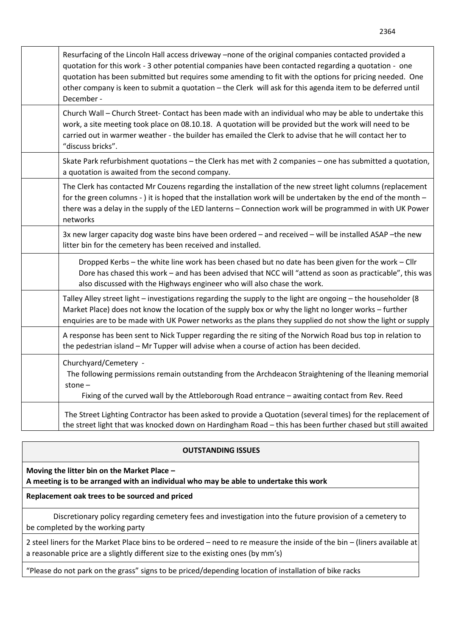| Resurfacing of the Lincoln Hall access driveway -none of the original companies contacted provided a<br>quotation for this work - 3 other potential companies have been contacted regarding a quotation - one<br>quotation has been submitted but requires some amending to fit with the options for pricing needed. One<br>other company is keen to submit a quotation - the Clerk will ask for this agenda item to be deferred until<br>December - |
|------------------------------------------------------------------------------------------------------------------------------------------------------------------------------------------------------------------------------------------------------------------------------------------------------------------------------------------------------------------------------------------------------------------------------------------------------|
| Church Wall - Church Street- Contact has been made with an individual who may be able to undertake this<br>work, a site meeting took place on 08.10.18. A quotation will be provided but the work will need to be<br>carried out in warmer weather - the builder has emailed the Clerk to advise that he will contact her to<br>"discuss bricks".                                                                                                    |
| Skate Park refurbishment quotations - the Clerk has met with 2 companies - one has submitted a quotation,<br>a quotation is awaited from the second company.                                                                                                                                                                                                                                                                                         |
| The Clerk has contacted Mr Couzens regarding the installation of the new street light columns (replacement<br>for the green columns - ) it is hoped that the installation work will be undertaken by the end of the month -<br>there was a delay in the supply of the LED lanterns - Connection work will be programmed in with UK Power<br>networks                                                                                                 |
| 3x new larger capacity dog waste bins have been ordered - and received - will be installed ASAP - the new<br>litter bin for the cemetery has been received and installed.                                                                                                                                                                                                                                                                            |
| Dropped Kerbs - the white line work has been chased but no date has been given for the work - Cllr<br>Dore has chased this work - and has been advised that NCC will "attend as soon as practicable", this was<br>also discussed with the Highways engineer who will also chase the work.                                                                                                                                                            |
| Talley Alley street light - investigations regarding the supply to the light are ongoing - the householder (8<br>Market Place) does not know the location of the supply box or why the light no longer works - further<br>enquiries are to be made with UK Power networks as the plans they supplied do not show the light or supply                                                                                                                 |
| A response has been sent to Nick Tupper regarding the re siting of the Norwich Road bus top in relation to<br>the pedestrian island - Mr Tupper will advise when a course of action has been decided.                                                                                                                                                                                                                                                |
| Churchyard/Cemetery -<br>The following permissions remain outstanding from the Archdeacon Straightening of the Ileaning memorial<br>stone $-$<br>Fixing of the curved wall by the Attleborough Road entrance - awaiting contact from Rev. Reed                                                                                                                                                                                                       |
| The Street Lighting Contractor has been asked to provide a Quotation (several times) for the replacement of<br>the street light that was knocked down on Hardingham Road - this has been further chased but still awaited                                                                                                                                                                                                                            |

## **OUTSTANDING ISSUES**

**Moving the litter bin on the Market Place – A meeting is to be arranged with an individual who may be able to undertake this work**

**Replacement oak trees to be sourced and priced**

Discretionary policy regarding cemetery fees and investigation into the future provision of a cemetery to be completed by the working party

2 steel liners for the Market Place bins to be ordered – need to re measure the inside of the bin – (liners available at a reasonable price are a slightly different size to the existing ones (by mm's)

"Please do not park on the grass" signs to be priced/depending location of installation of bike racks